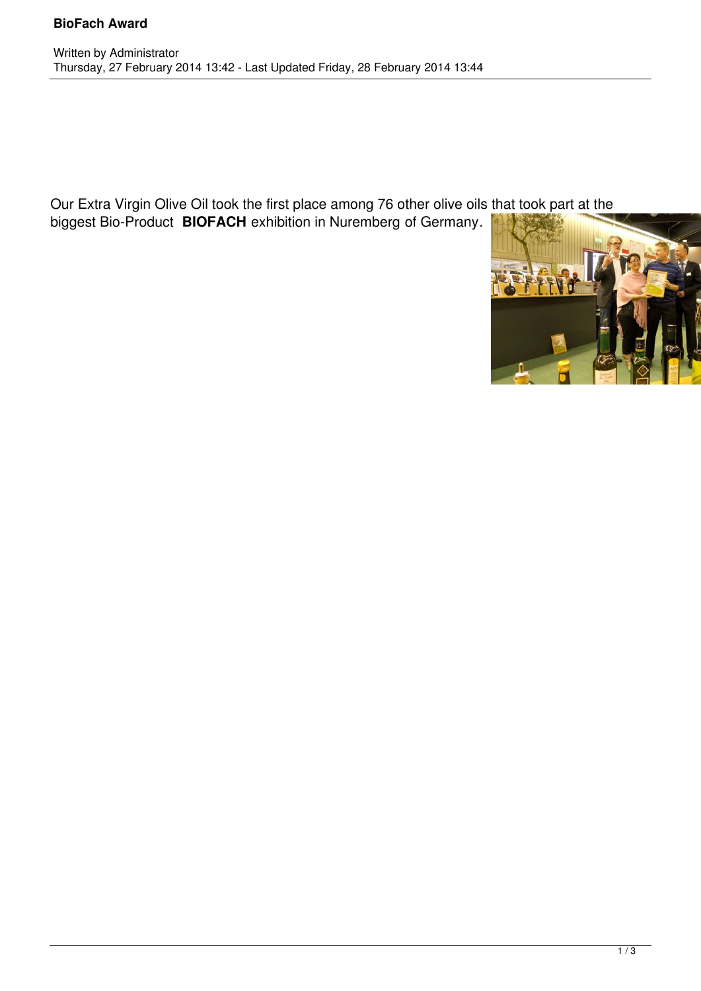Our Extra Virgin Olive Oil took the first place among 76 other olive oils that took part at the

biggest Bio-Product **BIOFACH** exhibition in Nuremberg of Germany.

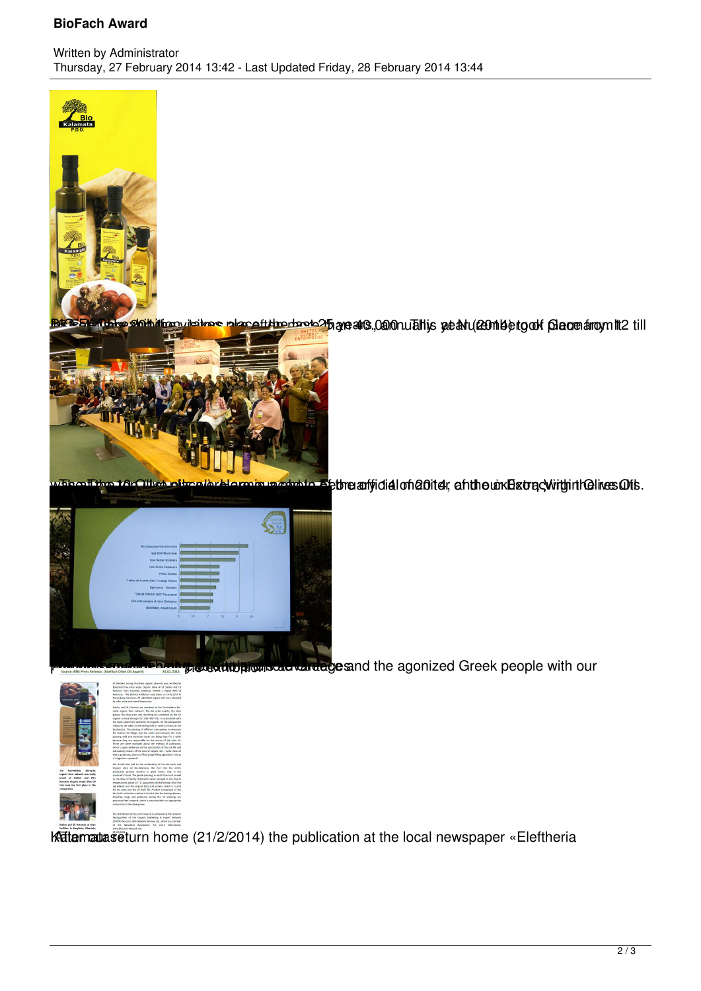## **BioFach Award**



and <mark>shibition itakes placetthe root 2</mark>5 are al 3 0.000 rubits at art (2011 be to of Germany 112 till annual 201



where the top (1st place is a photo of the monitor of the article of 20 of 20 of the unk Extra Within the results.



we are proproduct about about the agonized Greek people with our



Kattematas eturn home (21/2/2014) the publication at the local newspaper «Eleftheria